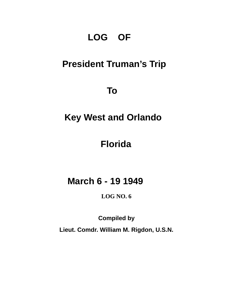# **LOG OF**

# **President Truman's Trip**

 **To** 

# **Key West and Orlando**

## **Florida**

## **March 6 - 19 1949**

### **LOG NO. 6**

**Compiled by** 

**Lieut. Comdr. William M. Rigdon, U.S.N.**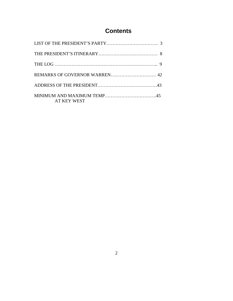## **Contents**

| REMARKS OF GOVERNOR WARREN 42 |  |
|-------------------------------|--|
|                               |  |
| <b>AT KEY WEST</b>            |  |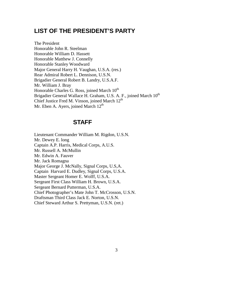### **LIST OF THE PRESIDENT'S PARTY**

The President Honorable John R. Steelman Honorable William D. Hassett Honorable Matthew J. Connelly Honorable Stanley Woodward Major General Harry H. Vaughan, U.S.A. (res.) Rear Admiral Robert L. Dennison, U.S.N. Brigadier General Robert B. Landry, U.S.A.F. Mr. William J. Bray Honorable Charles G. Ross, joined March  $10^{th}$ Brigadier General Wallace H. Graham, U.S. A. F., joined March 10<sup>th</sup> Chief Justice Fred M. Vinson, joined March  $12<sup>th</sup>$ Mr. Eben A. Ayers, joined March  $12<sup>th</sup>$ 

### **STAFF**

Lieutenant Commander William M. Rigdon, U.S.N. Mr. Dewey E. long Captain A.P. Harris, Medical Corps, A.U.S. Mr. Russell A. McMullin Mr. Edwin A. Fauver Mr. Jack Romagna Major George J. McNally, Signal Corps, U.S,A. Captain Harvard E. Dudley, Signal Corps, U.S.A. Master Sergeant Homer E. Wolff, U.S.A. Sergeant First Class William H. Brown, U.S.A. Sergeant Bernard Putterman, U.S.A. Chief Photographer's Mate John T. McCrosson, U.S.N. Draftsman Third Class Jack E. Norton, U.S.N. Chief Steward Arthur S. Prettyman, U.S.N. (ret.)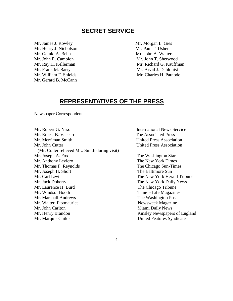### **SECRET SERVICE**

Mr. James J. Rowley Mr. Morgan L. Gies Mr. Henry J. Nicholson Mr. Paul T. Usher Mr. Gerald A. Behn Mr. John A. Walters Mr. John E. Campion Mr. John T. Sherwood Mr. Frank M. Barry Mr. Arvid J. Dahlquist Mr. Gerard B. McCann

Mr. Ray H. Kellerman Mr. Richard G. Kauffman Mr. William F. Shields Mr. Charles H. Patnode

### **REPRESENTATIVES OF THE PRESS**

Newspaper Correspondents

Mr. Robert G. Nixon **International News Service** Mr. Ernest B. Vaccaro The Associated Press Mr. Merriman Smith United Press Association Mr. John Cutter **Vertex Association** United Press Association (Mr. Cutter relieved Mr.. Smith during visit) Mr. Joseph A. Fox The Washington Star Mr. Anthony Leviero The New York Times Mr. Thomas F. Reynolds The Chicago Sun-Times Mr. Joseph H. Short The Baltimore Sun Mr. Carl Levin The New York Herald Tribune Mr. Jack Doherty The New York Daily News Mr. Laurence H. Burd The Chicago Tribune Mr. Windsor Booth Time - Life Magazines Mr. Marshall Andrews The Washington Post Mr. Walter Fitzmaurice Newsweek Magazine Mr. John Carlton **Miami Daily News** Mr. Henry Brandon Kinsley Newspapers of England Mr. Marquis Childs United Features Syndicate

4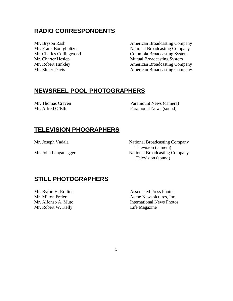### **RADIO CORRESPONDENTS**

Mr. Bryson Rash **American Broadcasting Company** Mr. Frank Bourgholtzer National Broadcasting Company Mr. Charles Collingwood Columbia Broadcasting System<br>Mr. Charter Heslep Mutual Broadcasting System Mutual Broadcasting System Mr. Robert Hinkley **American Broadcasting Company** Mr. Elmer Davis **American Broadcasting Company** 

### **NEWSREEL POOL PHOTOGRAPHERS**

Mr. Thomas Craven Paramount News (camera) Mr. Alfred O'Eth Paramount News (sound)

### **TELEVISION PHOGRAPHERS**

Mr. Joseph Vadala National Broadcasting Company Television (camera) Mr. John Langanegger National Broadcasting Company Television (sound)

### **STILL PHOTOGRAPHERS**

Mr. Byron H. Rollins Associated Press Photos Mr. Robert W. Kelly **Life Magazine** 

Mr. Milton Freier **Acme Newspictures**, Inc. Mr. Alfonso A. Muto **International News Photos**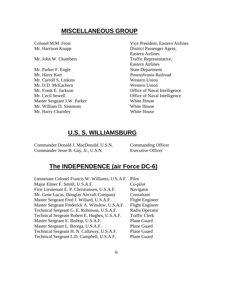### **MISCELLANEOUS GROUP**

Mr. Parker F. Engle State Department Mr. Harry Karr **Pennsylvania Railroad** Mr. Carroll S. Linkins Western Union Mr. O.D. McEachern Western Union Master Sergeant J.W. Parker White House Mr. William D. Simmons White House Mr. Harry Charnley White House

Colonel M.M. Frost Vice President, Eastern Airlines Mr. Harrison Knapp District Passenger Agent, Eastern Airlines Mr. John W. Chambers Traffic Representative, Eastern Airlines Mr. Frank E. Jackson **Office of Naval Intelligence** Mr. Cecil Sewell **Office of Naval Intelligence** 

### **U.S. S. WILLIAMSBURG**

Commander Donald J. MacDonald, U.S.N. Commanding Officer Commander Jesse B. Gay, Jr., U.S.N. Executive Officer

### **The INDEPENDENCE (air Force DC-6)**

Lieutenant Colonel Francis W. Williams, U.S.A.F. Pilot Major Elmer F. Smith, U.S.A.F. Co-pilot First Lieutenant E. P. Christiansen, U.S.A.F. Navigator Mr. Gene Lucas, Douglas Aircraft Company Consultant Master Sergeant Fred J. Willard, U.S.A.F. Flight Engineer Master Sergeant Frederick A. Winslow, U.S.A.F. Flight Engineer Technical Sergeant G. E. Robinson, U.S.A.F. Radio Operator Technical Sergeant Robert E. Hughes, U.S.A.F. Traffic Clerk Master Sergeant E. Bishop, U.S.A.F. Plane Guard Master Sergeant L. Borega, U.S.A.F. Plane Guard Technical Sergeant H. N. Callaway, U.S.A.F. Plane Guard Technical Sergeant L.D. Campbell, U.S.A.F. Plane Guard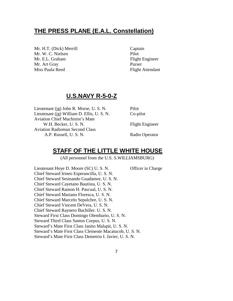### **THE PRESS PLANE (E.A.L. Constellation)**

Mr. H.T. (Dick) Merrill Captain Mr. W. C. Nielsen Pilot Mr. E.L. Graham Flight Engineer Mr. Art Gray Purser Miss Paula Reed Flight Attendant

### **U.S.NAVY R-5-0-Z**

Lieutenant (jg) John R. Morse, U. S. N. Pilot Lieutenant (jg) William D. Ellis, U. S. N. Co-pilot Aviation Chief Machinist's Mate W.H. Becker, U.S.N. Flight Engineer Aviation Radioman Second Class A.P. Russell, U.S.N. Radio Operator

### **STAFF OF THE LITTLE WHITE HOUSE**

(All personnel from the U.S. S.WILLIAMSBURG)

Lieutenant Hoye D. Moore (SC) U. S. N. Officer in Charge Chief Steward Irineo Esperancilla, U. S. N. Chief Steward Sesinando Guadamor, U. S. N. Chief Steward Cayetano Bautista, U. S. N. Chief Steward Ramon H. Pascual, U. S. N. Chief Steward Mariano Floresca, U. S. N. Chief Steward Marcelo Sepulchre, U. S. N. Chief Steward Vincent DeVera, U. S. N. Chief Steward Raynero Bachiller. U. S. N. Steward First Class Domingo Olembario, U. S. N. Steward Third Class Santos Corpus, U. S. N. Steward's Mate First Class Janito Malapit, U. S. N. Steward's Mate First Class Clemente Macatucob, U. S. N. Steward's Mate First Class Demetrio I. Javier, U. S. N.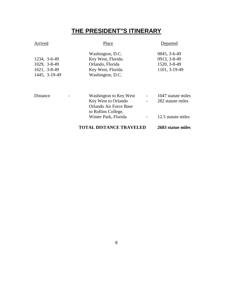## **THE PRESIDENT"S ITINERARY**

### Arrived Place Place Departed

|               | Washington, D.C.   | $0845, 3-6-49$ |
|---------------|--------------------|----------------|
| 1234, 3-6-49  | Key West, Florida. | 0913, 3-8-49   |
| 1029, 3-8-49  | Orlando, Florida   | 1520, 3-8-49   |
| 1621, 3-8-49  | Key West, Florida  | 1101, 3-19-49  |
| 1445, 3-19-49 | Washington, D.C.   |                |

|          |                          | <b>TOTAL DISTANCE TRAVELED</b> |                          | 2683 statue miles  |
|----------|--------------------------|--------------------------------|--------------------------|--------------------|
|          |                          | Winter Park, Florida           |                          | 12.5 statute miles |
|          |                          | to Rollins College,            |                          |                    |
|          |                          | Orlando Air Force Base         |                          |                    |
|          |                          | Key West to Orlando            | $\overline{\phantom{0}}$ | 282 statute miles  |
| Distance | $\overline{\phantom{0}}$ | Washington to Key West         | $\overline{\phantom{a}}$ | 1047 statute miles |

#### 8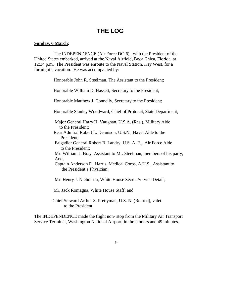### **THE LOG**

#### **Sunday, 6 March:**

 The INDEPENDENCE (Air Force DC-6) , with the President of the United States embarked, arrived at the Naval Airfield, Boca Chica, Florida, at 12:34 p.m. The President was enroute to the Naval Station, Key West, for a fortnight's vacation. He was accompanied by:

Honorable John R. Steelman, The Assistant to the President;

Honorable William D. Hassett, Secretary to the President;

Honorable Matthew J. Connelly, Secretary to the President;

Honorable Stanley Woodward, Chief of Protocol, State Department;

 Major General Harry H. Vaughan, U.S.A. (Res.), Military Aide to the President;

 Rear Admiral Robert L. Dennison, U.S.N., Naval Aide to the President;

 Brigadier General Robert B. Landry, U.S. A. F., Air Force Aide to the President;

 Mr. William J. Bray, Assistant to Mr. Steelman, members of his party; And,

 Captain Anderson P. Harris, Medical Corps, A.U.S., Assistant to the President's Physician;

Mr. Henry J. Nicholson, White House Secret Service Detail;

Mr. Jack Romagna, White House Staff; and

 Chief Steward Arthur S. Prettyman, U.S. N. (Retired), valet to the President.

The INDEPENDENCE made the flight non- stop from the Military Air Transport Service Terminal, Washington National Airport, in three hours and 49 minutes.

9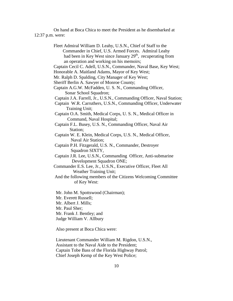On hand at Boca Chica to meet the President as he disembarked at 12:37 p.m. were:

> Fleet Admiral William D. Leahy, U.S.N., Chief of Staff to the Commander in Chief, U.S. Armed Forces. Admiral Leahy had been in Key West since January  $29<sup>th</sup>$ , recuperating from an operation and working on his memoirs; Captain Cecil C. Adell, U.S.N., Commander, Naval Base, Key West; Honorable A. Maitland Adams, Mayor of Key West; Mr. Ralph D. Spalding, City Manager of Key West; Sheriff Berlin A. Sawyer of Monroe County; Captain A.G.W. McFadden, U. S. N., Commanding Officer, Sonar School Squadron; Captain J.A. Farrell, Jr., U.S.N., Commanding Officer, Naval Station; Captain W.R. Carruthers, U.S.N., Commanding Officer, Underwater Training Unit; Captain O.A. Smith, Medical Corps, U. S. N., Medical Officer in Command, Naval Hospital; Captain F.L. Busey, U.S. N., Commanding Officer, Naval Air Station; Captain W. E. Klein, Medical Corps, U.S. N., Medical Officer, Naval Air Station; Captain P.H. Fitzgerald, U.S. N., Commander, Destroyer Squadron SIXTY, Captain J.R. Lee, U.S.N., Commanding Officer, Anti-submarine Development Squadron ONE; Commander E.S. Lee, Jr., U.S.N., Executive Officer, Fleet All Weather Training Unit; And the following members of the Citizens Welcoming Committee of Key West: Mr. John M. Spottswood (Chairman); Mr. Everett Russell; Mr. Albert J. Mills; Mr. Paul Sher; Mr. Frank J. Bentley; and Judge William V. Allbury

Also present at Boca Chica were:

 Lieutenant Commander William M. Rigdon, U.S.N., Assistant to the Naval Aide to the President; Captain Tobe Bass of the Florida Highway Patrol; Chief Joseph Kemp of the Key West Police;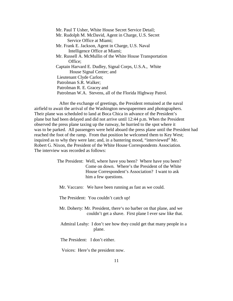Mr. Paul T Usher, White House Secret Service Detail; Mr. Rudolph M. McDavid, Agent in Charge, U.S. Secret Service Office at Miami; Mr. Frank E. Jackson, Agent in Charge, U.S. Naval Intelligence Office at Miami; Mr. Russell A. McMullin of the White House Transportation Office; Captain Harvard E. Dudley, Signal Corps, U.S.A., White House Signal Center; and Lieutenant Clyde Carlon; Patrolman S.R. Walker; Patrolman R. E. Gracey and Patrolman W.A. Stevens, all of the Florida Highway Patrol.

 After the exchange of greetings, the President remained at the naval airfield to await the arrival of the Washington newspapermen and photographers. Their plane was scheduled to land at Boca Chica in advance of the President's plane but had been delayed and did not arrive until 12:44 p.m. When the President observed the press plane taxing up the runway, he hurried to the spot where it was to be parked. All passengers were held aboard the press plane until the President had reached the foot of the ramp. From that position he welcomed them to Key West; inquired as to why they were late; and, in a bantering mood, "interviewed" Mr. Robert G. Nixon, the President of the White House Correspondents Association. The interview was recorded as follows:

> The President: Well, where have you been? Where have you been? Come on down. Where's the President of the White House Correspondent's Association? I want to ask him a few questions.

Mr. Vaccaro: We have been running as fast as we could.

The President: You couldn't catch up!

- Mr. Doherty: Mr. President, there's no barber on that plane, and we couldn't get a shave. First plane I ever saw like that.
- Admiral Leahy: I don't see how they could get that many people in a plane.

The President: I don't either.

Voices: Here's the president now.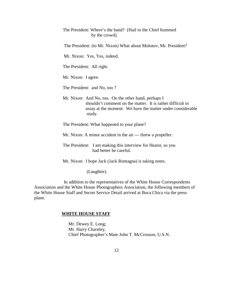The President: Where's the band? (Hail to the Chief hummed by the crowd).

The President: (to Mr. Nixon) What about Molotov, Mr. President?

Mr. Nixon: Yes, Yes, indeed.

The President: All right.

Mr. Nixon: I agree.

The President: and No, too ?

 Mr. Nixon: And No, too. On the other hand, perhaps I shouldn't comment on the matter. It is rather difficult to assay at the moment. We have the matter under considerable study.

The President: What happened to your plane?

Mr. Nixon: A minor accident in the air --- threw a propeller.

 The President: I am making this interview for Hearst, so you had better be careful.

Mr. Nixon: I hope Jack (Jack Romagna) is taking notes.

(Laughter).

 In addition to the representatives of the White House Correspondents Association and the White House Photographers Association, the following members of the White House Staff and Secret Service Detail arrived at Boca Chica via the press plane.

#### **WHITE HOUSE STAFF**

 Mr. Dewey E. Long; Mr. Harry Charnley, Chief Photographer's Mate John T. McCrosson, U.S.N.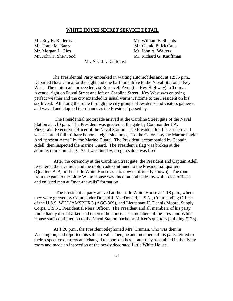#### **WHITE HOUSE SECRET SERVICE DETAIL**

Mr. Roy H. Kellerman Mr. William F. Shields Mr. Morgan L. Gies Mr. John A. Walters

Mr. Frank M. Barry Mr. Gerald B. McCann Mr. John T. Sherwood Mr. Richard G. Kauffman

Mr. Arvid J. Dahlquist

 The Presidential Party embarked in waiting automobiles and, at 12:55 p.m., Departed Boca Chica for the eight and one half mile drive to the Naval Station at Key West. The motorcade proceeded via Roosevelt Ave. (the Key Highway) to Truman Avenue, right on Duval Street and left on Caroline Street. Key West was enjoying perfect weather and the city extended its usual warm welcome to the President on his sixth visit. All along the route through the city groups of residents and visitors gathered and waved and clapped their hands as the President passed by.

 The Presidential motorcade arrived at the Caroline Street gate of the Naval Station at 1:10 p.m. The President was greeted at the gate by Commander J.A. Fitzgerald, Executive Officer of the Naval Station. The President left his car here and was accorded full military honors – eight side boys, "To the Colors" by the Marine bugler And "present Arms" by the Marine Guard. The President, accompanied by Captain Adell, then inspected the marine Guard. The President's flag was broken at the administration building. As it was Sunday, no gun salute was fired.

 After the ceremony at the Caroline Street gate, the President and Captain Adell re-entered their vehicle and the motorcade continued to the Presidential quarters (Quarters A-B, or the Little White House as it is now unofficially known). The route from the gate to the Little White House was lined on both sides by white-clad officers and enlisted men at "man-the-rails" formation.

 The Presidential party arrived at the Little White House at 1:18 p.m., where they were greeted by Commander Donald J. MacDonald, U.S.N., Commanding Officer of the U.S.S. WILLIAMSBURG (AGC-369), and Lieutenant H. Dennis Moore, Supply Corps, U.S.N., Presidential Mess Officer. The President and all members of his party immediately disembarked and entered the house. The members of the press and White House staff continued on to the Naval Station bachelor officer's quarters (building #128).

 At 1:20 p.m., the President telephoned Mrs. Truman, who was then in Washington, and reported his safe arrival. Then, he and members of his party retired to their respective quarters and changed to sport clothes. Later they assembled in the living room and made an inspection of the newly decorated Little White House.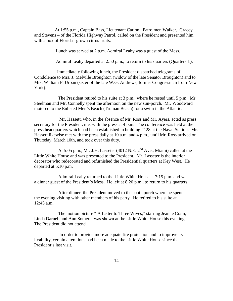At 1:55 p.m., Captain Bass, Lieutenant Carlon, Patrolmen Walker, Gracey and Stevens – of the Florida Highway Patrol, called on the President and presented him with a box of Florida –grown citrus fruits.

Lunch was served at 2 p.m. Admiral Leahy was a guest of the Mess.

Admiral Leahy departed at 2:50 p.m., to return to his quarters (Quarters L).

 Immediately following lunch, the President dispatched telegrams of Condolence to Mrs. J. Melville Broughton (widow of the late Senator Broughton) and to Mrs. William F. Urban (sister of the late W.G. Andrews, former Congressman from New York).

 The President retired to his suite at 3 p.m., where he rested until 5 p.m. Mr. Steelman and Mr. Connelly spent the afternoon on the new sun-porch. Mr. Woodward motored to the Enlisted Men's Beach (Truman Beach) for a swim in the Atlantic.

 Mr. Hassett, who, in the absence of Mr. Ross and Mr. Ayers, acted as press secretary for the President, met with the press at 4 p.m. The conference was held at the press headquarters which had been established in building #128 at the Naval Station. Mr. Hassett likewise met with the press daily at 10 a.m. and 4 p.m., until Mr. Ross arrived on Thursday, March 10th, and took over this duty.

At 5:05 p.m., Mr. J.H. Lasseter (4012 N.E.  $2<sup>nd</sup>$  Ave., Miami) called at the Little White House and was presented to the President. Mr. Lasseter is the interior decorator who redecorated and refurnished the Presidential quarters at Key West. He departed at 5:10 p.m.

 Admiral Leahy returned to the Little White House at 7:15 p.m. and was a dinner guest of the President's Mess. He left at 8:20 p.m., to return to his quarters.

 After dinner, the President moved to the south porch where he spent the evening visiting with other members of his party. He retired to his suite at 12:45 a.m.

 The motion picture " A Letter to Three Wives," starring Jeanne Crain, Linda Darnell and Ann Sothern, was shown at the Little White House this evening. The President did not attend.

 In order to provide more adequate fire protection and to improve its livability, certain alterations had been made to the Little White House since the President's last visit.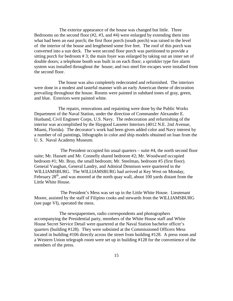The exterior appearance of the house was changed but little. Three Bedrooms on the second floor  $(\#2, \#3, \text{ and } \#4)$  were enlarged by extending them into what had been an east porch; the first floor porch (south porch) was raised to the level of the interior of the house and lengthened some five feet. The roof of this porch was converted into a sun deck. The west second floor porch was partitioned to provide a sitting porch for bedroom # 3; the main foyer was enlarged by taking out an inner set of double doors; a telephone booth was built in on each floor; a sprinkler type fire alarm system was installed throughout the house; and two steel fire escapes were installed from the second floor.

 The house was also completely redecorated and refurnished. The interiors were done in a modest and tasteful manner with an early American theme of decoration prevailing throughout the house. Rooms were painted in subdued tones of gray, green, and blue. Exteriors were painted white.

 The repairs, renovations and repainting were done by the Public Works Department of the Naval Station, under the direction of Commander Alexander E. Husband, Civil Engineer Corps, U.S. Navy. The redecoration and refurnishing of the interior was accomplished by the Haygood Lasseter Interiors (4012 N.E. 2nd Avenue, Miami, Florida). The decorator's work had been given added color and Navy interest by a number of oil paintings, lithographs in color and ship models obtained on loan from the U. S. Naval Academy Museum.

 The President occupied his usual quarters – suite #4, the north second floor suite; Mr. Hassett and Mr. Connelly shared bedroom #2; Mr. Woodward occupied bedroom #1; Mr. Bray, the small bedroom; Mr. Steelman, bedroom #5 (first floor). General Vaughan, General Landry, and Admiral Dennison were quartered in the WILLIAMSBURG. The WILLIAMSBURG had arrived at Key West on Monday, February  $28<sup>th</sup>$ , and was moored at the north quay wall, about 100 yards distant from the Little White House.

 The President's Mess was set up in the Little White House. Lieutenant Moore, assisted by the staff of Filipino cooks and stewards from the WILLIAMSBURG (see page VI), operated the mess.

 The newspapermen, radio correspondents and photographers accompanying the Presidential party, members of the White House staff and White House Secret Service Detail were quartered at the Naval Station bachelor officer's quarters (building #128). They were subsisted at the Commissioned Officers Mess located in building #106 directly across the street from building #128. A press room and a Western Union telegraph room were set up in building #128 for the convenience of the members of the press.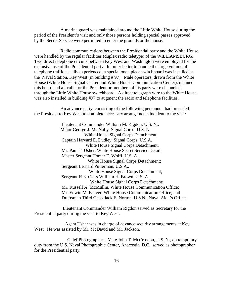A marine guard was maintained around the Little White House during the period of the President's visit and only those persons holding special passes approved by the Secret Service were permitted to enter the grounds or the house.

 Radio communications between the Presidential party and the White House were handled by the regular facilities (duplex radio teletype) of the WILLIAMSBURG. Two direct telephone circuits between Key West and Washington were employed for the exclusive use of the Presidential party. In order better to handle the large volume of telephone traffic usually experienced, a special one –place switchboard was installed at the Naval Station, Key West (in building # 97). Male operators, drawn from the White House (White House Signal Center and White House Communication Center), manned this board and all calls for the President or members of his party were channeled through the Little White House switchboard. A direct telegraph wire to the White House was also installed in building #97 to augment the radio and telephone facilities.

 An advance party, consisting of the following personnel, had preceded the President to Key West to complete necessary arrangements incident to the visit:

> Lieutenant Commander William M. Rigdon, U.S. N.; Major George J. Mc Nally, Signal Corps, U.S. N. White House Signal Corps Detachment; Captain Harvard E. Dudley, Signal Corps, U.S.A. White House Signal Corps Detachment; Mr. Paul T. Usher, White House Secret Service Detail; Master Sergeant Homer E. Wolff, U.S. A., White House Signal Corps Detachment; Sergeant Bernard Putterman, U.S.A., White House Signal Corps Detachment; Sergeant First Class William H. Brown, U.S. A., White House Signal Corps Detachment; Mr. Russell A. McMullin, White House Communication Office; Mr. Edwin M. Fauver, White House Communication Office; and Draftsman Third Class Jack E. Norton, U.S.N., Naval Aide's Office.

 Lieutenant Commander William Rigdon served as Secretary for the Presidential party during the visit to Key West.

 Agent Usher was in charge of advance security arrangements at Key West. He was assisted by Mr. McDavid and Mr. Jackson.

 Chief Photographer's Mate John T. McCrosson, U.S. N., on temporary duty from the U.S. Naval Photographic Center, Anacostia, D.C., served as photographer for the Presidential party.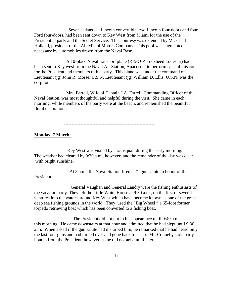Seven sedans – a Lincoln convertible, two Lincoln four-doors and four Ford four-doors, had been sent down to Key West from Miami for the use of the Presidential party and the Secret Service. This courtesy was extended by Mr. Cecil Holland, president of the All-Miami Motors Company. This pool was augmented as necessary by automobiles drawn from the Naval Base.

 A 10-place Naval transport plane (R-5-O-Z Lockheed Lodestar) had been sent to Key west from the Naval Air Station, Anacostia, to perform special missions for the President and members of his party. This plane was under the command of Lieutenant (jg) John R. Morse, U.S.N. Lieutenant (jg) William D. Ellis, U.S.N. was the co-pilot.

 Mrs. Farrell, Wife of Captain J.A. Farrell, Commanding Officer of the Naval Station, was most thoughtful and helpful during the visit. She came in each morning, while members of the party were at the beach, and replenished the beautiful floral decorations.

------------------------------------------------------------

#### **Monday, 7 March:**

 Key West was visited by a rainsquall during the early morning. The weather had cleared by 9:30 a.m., however, and the remainder of the day was clear with bright sunshine.

At 8 a.m., the Naval Station fired a 21-gun salute in honor of the

President.

 General Vaughan and General Landry were the fishing enthusiasts of the vacation party. They left the Little White House at 9:30 a.m., on the first of several ventures into the waters around Key West which have become known as one of the great deep sea fishing grounds in the world. They used the "Big Wheel," a 65-foot former torpedo retrieving boat which has been converted to a fishing boat.

 The President did not put in his appearance until 9:40 a.m., this morning. He came downstairs at that hour and admitted that he had slept until 9:30 a.m. When asked if the gun salute had disturbed him, he remarked that he had heard only the last four guns and had turned over and gone back to sleep. Mr. Connelly stole party honors from the President, however, as he did not arise until later.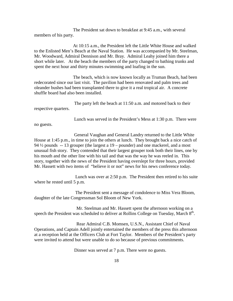The President sat down to breakfast at 9:45 a.m., with several members of his party.

 At 10:15 a.m., the President left the Little White House and walked to the Enlisted Men's Beach at the Naval Station. He was accompanied by Mr. Steelman, Mr. Woodward, Admiral Dennison and Mr. Bray. Admiral Leahy joined him there a short while later. At the beach the members of the party changed to bathing trunks and spent the next hour and thirty minutes swimming and loafing in the sun.

 The beach, which is now known locally as Truman Beach, had been redecorated since our last visit. The pavilion had been renovated and palm trees and oleander bushes had been transplanted there to give it a real tropical air. A concrete shuffle board had also been installed.

 The party left the beach at 11:50 a.m. and motored back to their respective quarters.

Lunch was served in the President's Mess at 1:30 p.m. There were

no guests.

 General Vaughan and General Landry returned to the Little White House at 1:45 p.m., in time to join the others at lunch. They brought back a nice catch of 94 ½ pounds -- 13 grouper (the largest a 19 – pounder) and one mackerel, and a most unusual fish story. They contended that their largest grouper took both their lines, one by his mouth and the other line with his tail and that was the way he was reeled in. This story, together with the news of the President having overslept for three hours, provided Mr. Hassett with two items of "believe it or not" news for his news conference today.

 Lunch was over at 2:50 p.m. The President then retired to his suite where he rested until 5 p.m.

 The President sent a message of condolence to Miss Vera Bloom, daughter of the late Congressman Sol Bloom of New York.

 Mr. Steelman and Mr. Hassett spent the afternoon working on a speech the President was scheduled to deliver at Rollins College on Tuesday, March  $8<sup>th</sup>$ .

 Rear Admiral C.B. Momsen, U.S.N., Assistant Chief of Naval Operations, and Captain Adell jointly entertained the members of the press this afternoon at a reception held at the Officers Club at Fort Taylor. Members of the President's party were invited to attend but were unable to do so because of previous commitments.

Dinner was served at 7 p.m. There were no guests.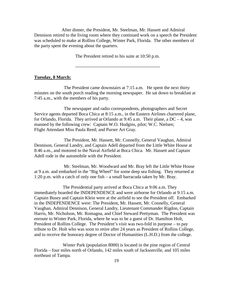After dinner, the President, Mr. Steelman, Mr. Hassett and Admiral Dennison retired to the living room where they continued work on a speech the President was scheduled to make at Rollins College, Winter Park, Florida. The other members of the party spent the evening about the quarters.

The President retired to his suite at 10:50 p.m.

--------------------------------------------------------

#### **Tuesday, 8 March:**

 The President came downstairs at 7:15 a.m. He spent the next thirty minutes on the south porch reading the morning newspaper. He sat down to breakfast at 7:45 a.m., with the members of his party.

 The newspaper and radio correspondents, photographers and Secret Service agents departed Boca Chica at 8:15 a.m., in the Eastern Airlines chartered plane, for Orlando, Florida. They arrived at Orlando at  $9:45$  a.m. Their plane, a DC – 4, was manned by the following crew: Captain W.O. Hudgins, pilot; W.C. Nielsen; Flight Attendant Miss Paula Reed; and Purser Art Gray.

 The President, Mr. Hassett, Mr. Connelly, General Vaughan, Admiral Dennison, General Landry, and Captain Adell departed from the Little White House at 8:46 a.m., and motored to the Naval Airfield at Boca Chica. Mr. Hassett and Captain Adell rode in the automobile with the President.

 Mr. Steelman, Mr. Woodward and Mr. Bray left the Little White House at 9 a.m. and embarked in the "Big Wheel" for some deep sea fishing. They returned at 1:20 p.m. with a catch of only one fish – a small barracuda taken by Mr. Bray.

 The Presidential party arrived at Boca Chica at 9:06 a.m. They immediately boarded the INDEPENDENCE and were airborne for Orlando at 9:15 a.m. Captain Busey and Captain Klein were at the airfield to see the President off. Embarked in the INDEPENDENCE were: The President, Mr. Hassett, Mr. Connelly, General Vaughan, Admiral Dennison, General Landry, Lieutenant Commander Rigdon, Captain Harris, Mr. Nicholson, Mr. Romagna, and Chief Steward Prettyman. The President was enroute to Winter Park, Florida, where he was to be a guest of Dr. Hamilton Holt, President of Rollins College. The President's visit was two-fold in purpose – to pay tribute to Dr. Holt who was soon to retire after 24 years as President of Rollins College, and to receive the honorary degree of Doctor of Humanities (L.H.D.) from the college.

 Winter Park (population 8000) is located in the pine region of Central Florida – four miles north of Orlando, 142 miles south of Jacksonville, and 105 miles northeast of Tampa.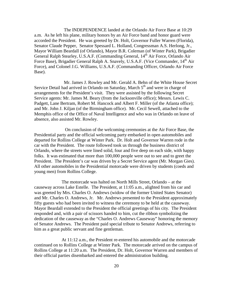The INDEPENDENCE landed at the Orlando Air Force Base at 10:29 a.m. As he left his plane, military honors by an Air Force band and honor guard were accorded the President. He was greeted by Dr. Holt, Governor Fuller Warren (Florida), Senator Claude Pepper, Senator Spessard L. Holland, Congressman A.S. Herlong, Jr., Mayor William Beardall (of Orlando), Mayor B.R. Coleman (of Winter Park), Brigadier General Ralph Stearley, U.S.A.F. (Commanding General, 14<sup>th</sup> Air Force, Orlando Air Force Base), Brigadier General Ralph A. Snavely, U.S.A.F. (Vice Commander, 14<sup>th</sup> Air Force), and Colonel J.G. Williams, U.S.A.F. (Commanding Officer, Orlando Air Force Base).

 Mr. James J. Rowley and Mr. Gerald A. Behn of the White House Secret Service Detail had arrived in Orlando on Saturday, March  $5<sup>th</sup>$  and were in charge of arrangements for the President's visit. They were assisted by the following Secret Service agents: Mr. James M. Beary (from the Jacksonville office); Messrs. Lewis C. Padgett, Lane Bertram, Robert M. Hancock and Albert F. Miller (of the Atlanta office); and Mr. John J. Kiljan (of the Birmingham office). Mr. Cecil Sewell, attached to the Memphis office of the Office of Naval Intelligence and who was in Orlando on leave of absence, also assisted Mr. Rowley.

 On conclusion of the welcoming ceremonies at the Air Force Base, the Presidential party and the official welcoming party embarked in open automobiles and departed for Rollins College at Winter Park. Dr. Holt and Governor Warren rode in the car with the President. The route followed took us through the business district of Orlando, where the streets were lined solid, four and five deep on each side, with happy folks. It was estimated that more than 100,000 people were out to see and to greet the President. The President's car was driven by a Secret Service agent (Mr. Morgan Gies). All other automobiles in the Presidential motorcade were driven by students (coeds and young men) from Rollins College.

 The motorcade was halted on North Mills Street, Orlando – at the causeway across Lake Estelle. The President, at 11:05 a.m., alighted from his car and was greeted by Mrs. Charles O. Andrews (widow of the former United States Senator) and Mr. Charles O. Andrews, Jr. Mr. Andrews presented to the President approximately fifty guests who had been invited to witness the ceremony to be held at the causeway. Mayor Beardall extended to the President the official greetings of his city. The President responded and, with a pair of scissors handed to him, cut the ribbon symbolizing the dedication of the causeway as the "Charles O. Andrews Causeway" honoring the memory of Senator Andrews. The President paid special tribute to Senator Andrews, referring to him as a great public servant and fine gentleman.

 At 11:12 a.m., the President re-entered his automobile and the motorcade continued on to Rollins College at Winter Park. The motorcade arrived on the campus of Rollins College at 11:20 a.m. The President, Dr. Holt, Governor Warren and members of their official parties disembarked and entered the administration building.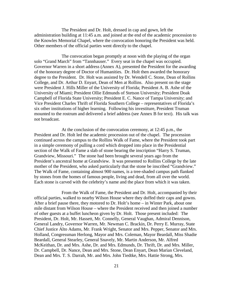The President and Dr. Holt, dressed in cap and gown, left the administration building at 11:45 a.m. and joined at the end of the academic procession to the Knowles Memorial Chapel, where the convocation honoring the President was held. Other members of the official parties went directly to the chapel.

 The convocation began promptly at noon with the playing of the organ solo "Grand March" from "Tannhauser." Every seat in the chapel was occupied. Governor Warren in a short address (Annex A), presented the President for the awarding of the honorary degree of Doctor of Humanities. Dr. Holt then awarded the honorary degree to the President. Dr. Holt was assisted by Dr. Wendell C. Stone, Dean of Rollins College, and Dr. Arthur D. Enyart, Dean of Men at Rollins. Also present on the stage were President J. Hills Miller of the University of Florida; President A. B. Ashe of the University of Miami; President Ollie Edmunds of Stetson University; President Doak Campbell of Florida State University; President E. C. Nance of Tampa University; and Vice President Charles Thrift of Florida Southern College – representatives of Florida's six other institutions of higher learning. Following his investiture, President Truman mounted to the rostrum and delivered a brief address (see Annex B for text). His talk was not broadcast.

 At the conclusion of the convocation ceremony, at 12:45 p.m., the President and Dr. Holt led the academic procession out of the chapel. The procession continued across the campus to the Rollins Walk of Fame, where the President took part in a simple ceremony of pulling a cord which dropped into place in the Presidential section of the Walk of Fame a slab of stone bearing the inscription "Harry S. Truman, Grandview, Missouri." The stone had been brought several years ago from the President's ancestral home at Grandview. It was presented to Rollins College by the late mother of the President, who asked particularly that the stone be inscribed "Grandview." The Walk of Fame, containing almost 900 names, is a tree-shaded campus path flanked by stones from the homes of famous people, living and dead, from all over the world. Each stone is carved with the celebrity's name and the place from which it was taken.

 From the Walk of Fame, the President and Dr. Holt, accompanied by their official parties, walked to nearby Wilson House where they doffed their caps and gowns. After a brief pause there, they motored to Dr. Holt's home – in Winter Park, about one mile distant from Wilson House – where the President received and then joined a number of other guests at a buffet luncheon given by Dr. Holt. Those present included: The President, Dr. Holt, Mr. Hassett, Mr. Connelly, General Vaughan, Admiral Dennison, General Landry, Governor Warren, Mr. Newman C. Brackin, Dr. Perry E. Murray, State Chief Justice Alto Adams, Mr. Frank Wright, Senator and Mrs. Pepper, Senator and Mrs. Holland, Congressman Herlong, Mayor and Mrs. Coleman, Mayor Beardall, Miss Shadie Beardall, General Stearley, General Snavely, Mr. Martin Anderson, Mr. Alfred McKeithan, Dr. and Mrs. Ashe, Dr. and Mrs. Edmunds, Dr. Thrift, Dr. and Mrs. Miller, Dr. Campbell, Dr. Nance, Dean and Mrs. Stone, Dean Enyart, Dean Marian Cleveland, Dean and Mrs. T. S. Darrah, Mr. and Mrs. John Tiedtke, Mrs. Hattie Strong, Mrs.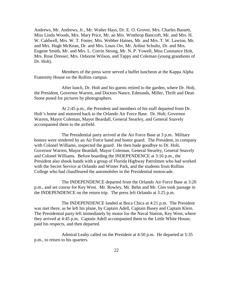Andrews, Mr. Andrews, Jr., Mr. Walter Hays, Dr. E. O. Grover, Mrs. Charles Bassett, Miss Linda Woods, Mrs. Mary Price, Mr. an Mrs. Winthrop Bancroft, Mr. and Mrs. H. W. Caldwell, Mrs. W. T. Foster, Mrs. Webber Haines, Mr. and Mrs. T. W. Lawton, Mr. and Mrs. Hugh McKean, Dr. and Mrs. Louis Orr, Mr. Arthur Schultz, Dr. and Mrs. Eugene Smith, Mr. and Mrs. L. Corrin Strong, Mr. N. P. Yowell, Miss Constance Holt, Mrs. Rose Dresser, Mrs. Osborne Wilson, and Tappy and Coleman (young grandsons of Dr. Holt).

 Members of the press were served a buffet luncheon at the Kappa Alpha Fraternity House on the Rollins campus.

 After lunch, Dr. Holt and his guests retired to the garden, where Dr. Holt, the President, Governor Warren, and Doctors Nance, Edmunds, Miller, Thrift and Dean Stone posed for pictures by photographers.

 At 2:45 p.m., the President and members of his staff departed from Dr. Holt's home and motored back to the Orlando Air Force Base. Dr. Holt, Governor Warren, Mayor Coleman, Mayor Beardall, General Stearley, and General Snavely accompanied them to the airfield.

 The Presidential party arrived at the Air Force Base at 3 p.m. Military honors were rendered by an Air Force band and honor guard. The President, in company with Colonel Williams, inspected the guard. He then bade goodbye to Dr. Holt, Governor Warren, Mayor Beardall, Mayor Coleman, General Stearley, General Snavely and Colonel Williams. Before boarding the INDEPENDENCE at 3:16 p.m., the President also shook hands with a group of Florida Highway Patrolmen who had worked with the Secret Service at Orlando and Winter Park, and the students from Rollins College who had chauffeured the automobiles in the Presidential motorcade.

 The INDEPENDENCE departed from the Orlando Air Force Base at 3:20 p.m., and set course for Key West. Mr. Rowley, Mr. Behn and Mr. Gies took passage in the INDEPENDENCE on the return trip. The press left Orlando at 3:25 p.m.

 The INDEPENDENCE landed at Boca Chica at 4:21 p.m. The President was met there, as he left his plane, by Captain Adell, Captain Busey and Captain Klein. The Presidential party left immediately by motor for the Naval Station, Key West, where they arrived at 4:45 p.m. Captain Adell accompanied them to the Little White House, paid his respects, and then departed.

 Admiral Leahy called on the President at 4:50 p.m. He departed at 5:35 p.m., to return to his quarters.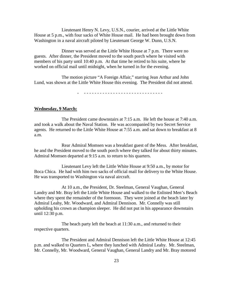Lieutenant Henry N. Levy, U.S.N., courier, arrived at the Little White House at 5 p.m., with four sacks of White House mail. He had been brought down from Washington in a naval aircraft piloted by Lieutenant George W. Dunn, U.S.N.

 Dinner was served at the Little White House at 7 p.m. There were no guests. After dinner, the President moved to the south porch where he visited with members of his party until 10:40 p.m. At that time he retired to his suite, where he worked on official mail until midnight, when he turned in for the evening.

 The motion picture "A Foreign Affair," starring Jean Arthur and John Lund, was shown at the Little White House this evening. The President did not attend.

- - - - - - - - - - - - - - - - - - - - - - - - - - - - - - -

#### **Wednesday, 9 March:**

 The President came downstairs at 7:15 a.m. He left the house at 7:40 a.m. and took a walk about the Naval Station. He was accompanied by two Secret Service agents. He returned to the Little White House at 7:55 a.m. and sat down to breakfast at 8 a.m.

 Rear Admiral Momsen was a breakfast guest of the Mess. After breakfast, he and the President moved to the south porch where they talked for about thirty minutes. Admiral Momsen departed at 9:15 a.m. to return to his quarters.

 Lieutenant Levy left the Little White House at 9:50 a.m., by motor for Boca Chica. He had with him two sacks of official mail for delivery to the White House. He was transported to Washington via naval aircraft.

 At 10 a.m., the President, Dr. Steelman, General Vaughan, General Landry and Mr. Bray left the Little White House and walked to the Enlisted Men's Beach where they spent the remainder of the forenoon. They were joined at the beach later by Admiral Leahy, Mr. Woodward, and Admiral Dennison. Mr. Connelly was still upholding his crown as champion sleeper. He did not put in his appearance downstairs until 12:30 p.m.

 The beach party left the beach at 11:30 a.m., and returned to their respective quarters.

 The President and Admiral Dennison left the Little White House at 12:45 p.m. and walked to Quarters L, where they lunched with Admiral Leahy. Mr. Steelman, Mr. Connelly, Mr. Woodward, General Vaughan, General Landry and Mr. Bray motored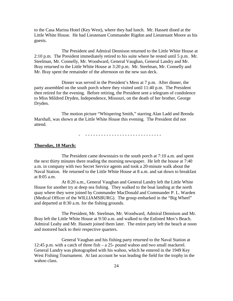to the Casa Marina Hotel (Key West), where they had lunch. Mr. Hassett dined at the Little White House. He had Lieutenant Commander Rigdon and Lieutenant Moore as his guests.

 The President and Admiral Dennison returned to the Little White House at 2:10 p.m. The President immediately retired to his suite where he rested until 5 p.m. Mr. Steelman, Mr. Connelly, Mr. Woodward, General Vaughan, General Landry and Mr. Bray returned to the Little White House at 3:20 p.m. Mr. Steelman, Mr. Connelly and Mr. Bray spent the remainder of the afternoon on the new sun deck.

 Dinner was served in the President's Mess at 7 p.m. After dinner, the party assembled on the south porch where they visited until 11:40 p.m. The President then retired for the evening. Before retiring, the President sent a telegram of condolence to Miss Mildred Dryden, Independence, Missouri, on the death of her brother, George Dryden.

 The motion picture "Whispering Smith," starring Alan Ladd and Brenda Marshall, was shown at the Little White House this evening. The President did not attend.

- - - - - - - - - - - - - - - - - - - - - - - - - - - - - -

#### **Thursday, 10 March:**

 The President came downstairs to the south porch at 7:10 a.m. and spent the next thirty minutes there reading the morning newspaper. He left the house at 7:40 a.m. in company with two Secret Service agents and took a 20-minute walk about the Naval Station. He returned to the Little White House at 8 a.m. and sat down to breakfast at 8:05 a.m.

 At 8:20 a.m., General Vaughan and General Landry left the Little White House for another try at deep sea fishing. They walked to the boat landing at the north quay where they were joined by Commander MacDonald and Commander P. L. Warden (Medical Officer of the WILLIAMSBURG). The group embarked in the "Big Wheel" and departed at 8:30 a.m. for the fishing grounds.

 The President, Mr. Steelman, Mr. Woodward, Admiral Dennison and Mr. Bray left the Little White House at 9:50 a.m. and walked to the Enlisted Men's Beach. Admiral Leahy and Mr. Hassett joined them later. The entire party left the beach at noon and motored back to their respective quarters.

 General Vaughan and his fishing party returned to the Naval Station at 12:45 p.m. with a catch of three fish – a 25- pound wahoo and two small mackerel. General Landry was photographed with his wahoo, which he entered in the 1949 Key West Fishing Tournament. At last account he was leading the field for the trophy in the wahoo class.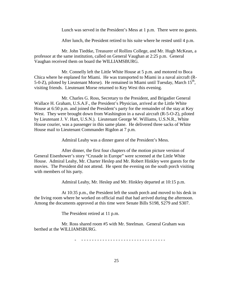Lunch was served in the President's Mess at 1 p.m. There were no guests.

After lunch, the President retired to his suite where he rested until 4 p.m.

 Mr. John Tiedtke, Treasurer of Rollins College, and Mr. Hugh McKean, a professor at the same institution, called on General Vaughan at 2:25 p.m. General Vaughan received them on board the WILLIAMSBURG.

 Mr. Connelly left the Little White House at 5 p.m. and motored to Boca Chica where he enplaned for Miami. He was transported to Miami in a naval aircraft (R-5-0-Z), piloted by Lieutenant Morse). He remained in Miami until Tuesday, March  $15<sup>th</sup>$ , visiting friends. Lieutenant Morse returned to Key West this evening.

 Mr. Charles G. Ross, Secretary to the President, and Brigadier General Wallace H. Graham, U.S.A.F., the President's Physician, arrived at the Little White House at 6:50 p.m. and joined the President's party for the remainder of the stay at Key West. They were brought down from Washington in a naval aircraft (R-5-O-Z), piloted by Lieutenant J. V. Hart, U.S.N.). Lieutenant George W. Williams, U.S.N.R., White House courier, was a passenger in this same plane. He delivered three sacks of White House mail to Lieutenant Commander Rigdon at 7 p.m.

Admiral Leahy was a dinner guest of the President's Mess.

 After dinner, the first four chapters of the motion picture version of General Eisenhower's story "Crusade in Europe" were screened at the Little White House. Admiral Leahy, Mr. Charter Heslep and Mr. Robert Hinkley were guests for the movies. The President did not attend. He spent the evening on the south porch visiting with members of his party.

Admiral Leahy, Mr. Heslep and Mr. Hinkley departed at 10:15 p.m.

 At 10:35 p.m., the President left the south porch and moved to his desk in the living room where he worked on official mail that had arrived during the afternoon. Among the documents approved at this time were Senate Bills S198, S279 and S307.

The President retired at 11 p.m.

 Mr. Ross shared room #5 with Mr. Steelman. General Graham was berthed at the WILLIAMSBURG.

- - - - - - - - - - - - - - - - - - - - - - - - - - - - - - - - -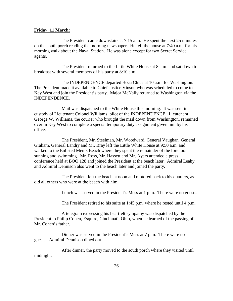#### **Friday, 11 March:**

 The President came downstairs at 7:15 a.m. He spent the next 25 minutes on the south porch reading the morning newspaper. He left the house at 7:40 a.m. for his morning walk about the Naval Station. He was alone except for two Secret Service agents.

 The President returned to the Little White House at 8 a.m. and sat down to breakfast with several members of his party at 8:10 a.m.

 The INDEPENDENCE departed Boca Chica at 10 a.m. for Washington. The President made it available to Chief Justice Vinson who was scheduled to come to Key West and join the President's party. Major McNally returned to Washington via the INDEPENDENCE.

 Mail was dispatched to the White House this morning. It was sent in custody of Lieutenant Colonel Williams, pilot of the INDEPENDENCE. Lieutenant George W. Williams, the courier who brought the mail down from Washington, remained over in Key West to complete a special temporary duty assignment given him by his office.

 The President, Mr. Steelman, Mr. Woodward, General Vaughan, General Graham, General Landry and Mr. Bray left the Little White House at 9:50 a.m. and walked to the Enlisted Men's Beach where they spent the remainder of the forenoon sunning and swimming. Mr. Ross, Mr. Hassett and Mr. Ayers attended a press conference held at BOQ 128 and joined the President at the beach later. Admiral Leahy and Admiral Dennison also went to the beach later and joined the party.

 The President left the beach at noon and motored back to his quarters, as did all others who were at the beach with him.

Lunch was served in the President's Mess at 1 p.m. There were no guests.

The President retired to his suite at 1:45 p.m. where he rested until 4 p.m.

 A telegram expressing his heartfelt sympathy was dispatched by the President to Philip Cohen, Esquire, Cincinnati, Ohio, when he learned of the passing of Mr. Cohen's father.

 Dinner was served in the President's Mess at 7 p.m. There were no guests. Admiral Dennison dined out.

 After dinner, the party moved to the south porch where they visited until midnight.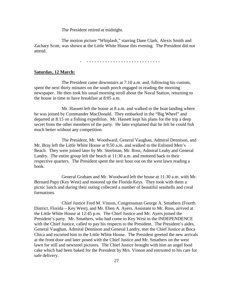The President retired at midnight.

 The motion picture "Whiplash," starring Dane Clark, Alexis Smith and Zachary Scott, was shown at the Little White House this evening. The President did not attend.

- - - - - - - - - - - - - - - - - - - - - - - - - - - - -

#### **Saturday, 12 March:**

 The President came downstairs at 7:10 a.m. and, following his custom, spent the next thirty minutes on the south porch engaged in reading the morning newspaper. He then took his usual morning stroll about the Naval Station, returning to the house in time to have breakfast at 8:05 a.m.

 Mr. Hassett left the house at 8 a.m. and walked to the boat landing where he was joined by Commander MacDonald. They embarked in the "Big Wheel" and departed at 8:15 on a fishing expedition. Mr. Hassett kept his plans for the trip a deep secret from the other members of the party. He later explained that he felt he could fish much better without any competition.

 The President, Mr. Woodward, General Vaughan, Admiral Dennison, and Mr. Bray left the Little White House at 9:50 a.m. and walked to the Enlisted Men's Beach. They were joined later by Mr. Steelman, Mr. Ross, Admiral Leahy and General Landry. The entire group left the beach at 11:30 a.m. and motored back to their respective quarters. The President spent the next hour out on the west lawn reading a book.

 General Graham and Mr. Woodward left the house at 11:30 a.m. with Mr. Bernard Papy (Key West) and motored up the Florida Keys. They took with them a picnic lunch and during their outing collected a number of beautiful seashells and coral formations.

 Chief Justice Fred M. Vinson, Congressman George A. Smathers (Fourth District, Florida – Key West), and Mr. Eben A. Ayers, Assistant to Mr. Ross, arrived at the Little White House at 12:45 p.m. The Chief Justice and Mr. Ayers joined the President's party. Mr. Smathers, who had come to Key West in the INDEPENDENCE with the Chief Justice, called to pay his respects to the President. The President's aides, General Vaughan, Admiral Dennison and General Landry, met the Chief Justice at Boca Chica and escorted him to the Little White House. The President greeted the new arrivals at the front door and later posed with the Chief Justice and Mr. Smathers on the west lawn for still and newsreel pictures. The Chief Justice brought with him an angel food cake which had been baked for the President by Mrs. Vinson and entrusted to his care for safe delivery.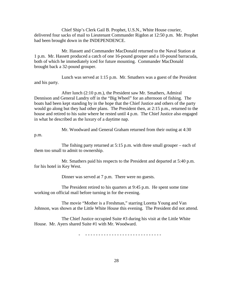Chief Ship's Clerk Gail B. Prophet, U.S.N., White House courier, delivered four sacks of mail to Lieutenant Commander Rigdon at 12:50 p.m. Mr. Prophet had been brought down in the INDEPENDENCE.

 Mr. Hassett and Commander MacDonald returned to the Naval Station at 1 p.m. Mr. Hassett produced a catch of one 16-pound grouper and a 10-pound barracuda, both of which he immediately iced for future mounting. Commander MacDonald brought back a 32-pound grouper.

 Lunch was served at 1:15 p.m. Mr. Smathers was a guest of the President and his party.

 After lunch (2:10 p.m.), the President saw Mr. Smathers, Admiral Dennison and General Landry off in the "Big Wheel" for an afternoon of fishing. The boats had been kept standing by in the hope that the Chief Justice and others of the party would go along but they had other plans. The President then, at 2:15 p.m., returned to the house and retired to his suite where he rested until 4 p.m. The Chief Justice also engaged in what he described as the luxury of a daytime nap.

Mr. Woodward and General Graham returned from their outing at 4:30

p.m.

 The fishing party returned at 5:15 p.m. with three small grouper – each of them too small to admit to ownership.

 Mr. Smathers paid his respects to the President and departed at 5:40 p.m. for his hotel in Key West.

Dinner was served at 7 p.m. There were no guests.

 The President retired to his quarters at 9:45 p.m. He spent some time working on official mail before turning in for the evening.

 The movie "Mother is a Freshman," starring Loretta Young and Van Johnson, was shown at the Little White House this evening. The President did not attend.

 The Chief Justice occupied Suite #3 during his visit at the Little White House. Mr. Ayers shared Suite #1 with Mr. Woodward.

- - - - - - - - - - - - - - - - - - - - - - - - - - - - - -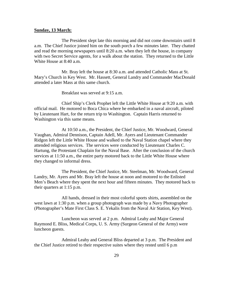#### **Sunday, 13 March:**

 The President slept late this morning and did not come downstairs until 8 a.m. The Chief Justice joined him on the south porch a few minutes later. They chatted and read the morning newspapers until 8:20 a.m. when they left the house, in company with two Secret Service agents, for a walk about the station. They returned to the Little White House at 8:40 a.m.

 Mr. Bray left the house at 8:30 a.m. and attended Catholic Mass at St. Mary's Church in Key West. Mr. Hassett, General Landry and Commander MacDonald attended a later Mass at this same church.

Breakfast was served at 9:15 a.m.

 Chief Ship's Clerk Prophet left the Little White House at 9:20 a.m. with official mail. He motored to Boca Chica where he embarked in a naval aircraft, piloted by Lieutenant Hart, for the return trip to Washington. Captain Harris returned to Washington via this same means.

 At 10:50 a.m., the President, the Chief Justice, Mr. Woodward, General Vaughan, Admiral Dennison, Captain Adell, Mr. Ayers and Lieutenant Commander Ridgon left the Little White House and walked to the Naval Station chapel where they attended religious services. The services were conducted by Lieutenant Charles C. Hartung, the Protestant Chaplain for the Naval Base. After the conclusion of the church services at 11:50 a.m., the entire party motored back to the Little White House where they changed to informal dress.

 The President, the Chief Justice, Mr. Steelman, Mr. Woodward, General Landry, Mr. Ayers and Mr. Bray left the house at noon and motored to the Enlisted Men's Beach where they spent the next hour and fifteen minutes. They motored back to their quarters at 1:15 p.m.

 All hands, dressed in their most colorful sports shirts, assembled on the west lawn at 1:30 p.m. when a group photograph was made by a Navy Photographer (Photographer's Mate First Class S. E. Yekalis from the Naval Air Station, Key West).

 Luncheon was served at 2 p.m. Admiral Leahy and Major General Raymond E. Bliss, Medical Corps, U. S. Army (Surgeon General of the Army) were luncheon guests.

 Admiral Leahy and General Bliss departed at 3 p.m. The President and the Chief Justice retired to their respective suites where they rested until 6 p.m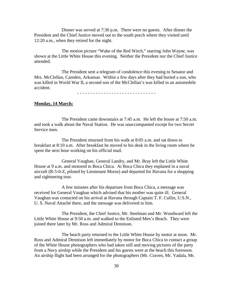Dinner was served at 7:30 p.m. There were no guests. After dinner the President and the Chief Justice moved out to the south porch where they visited until 12:20 a.m., when they retired for the night.

 The motion picture "Wake of the Red Witch," starring John Wayne, was shown at the Little White House this evening. Neither the President nor the Chief Justice attended.

 The President sent a telegram of condolence this evening to Senator and Mrs. McClellan, Camden, Arkansas. Within a few days after they had buried a son, who was killed in World War II, a second son of the McClellan's was killed in an automobile accident.

- - - - - - - - - - - - - - - - - - - - - - - - - - - - - -

#### **Monday, 14 March:**

 The President came downstairs at 7:45 a.m. He left the house at 7:50 a.m. and took a walk about the Naval Station. He was unaccompanied except for two Secret Service men.

 The President returned from his walk at 8:05 a.m. and sat down to breakfast at 8:10 a.m. After breakfast he moved to his desk in the living room where he spent the next hour working on his official mail.

 General Vaughan, General Landry, and Mr. Bray left the Little White House at 9 a.m. and motored to Boca Chica. At Boca Chica they enplaned in a naval aircraft (R-5-0-Z, piloted by Lieutenant Morse) and departed for Havana for a shopping and sightseeing tour.

 A few minutes after his departure from Boca Chica, a message was received for General Vaughan which advised that his mother was quite ill. General Vaughan was contacted on his arrival at Havana through Captain T. F. Cullin, U.S.N., U. S. Naval Attaché there, and the message was delivered to him.

 The President, the Chief Justice, Mr. Steelman and Mr. Woodward left the Little White House at 9:50 a.m. and walked to the Enlisted Men's Beach. They were joined there later by Mr. Ross and Admiral Dennison.

 The beach party returned to the Little White House by motor at noon. Mr. Ross and Admiral Dennison left immediately by motor for Boca Chica to contact a group of the White House photographers who had taken still and moving pictures of the party from a Navy airship while the President and his guests were at the beach this forenoon. An airship flight had been arranged for the photographers (Mr. Craven, Mr. Vadala, Mr.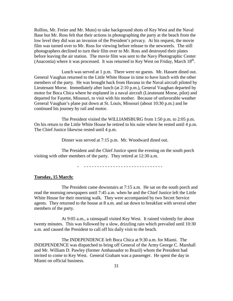Rollins, Mr. Freier and Mr. Muto) to take background shots of Key West and the Naval Base but Mr. Ross felt that their actions in photographing the party at the beach from the low level they did was an invasion of the President's privacy. At his request, the movie film was turned over to Mr. Ross for viewing before release to the newsreels. The still photographers declined to turn their film over to Mr. Ross and destroyed their plates before leaving the air station. The movie film was sent to the Navy Photographic Center (Anacostia) where it was processed. It was returned to Key West on Friday, March  $18<sup>th</sup>$ .

 Lunch was served at 1 p.m. There were no guests. Mr. Hassett dined out. General Vaughan returned to the Little White House in time to have lunch with the other members of the party. He was brought back from Havana in the Naval aircraft piloted by Lieutenant Morse. Immediately after lunch (at 2:10 p.m.), General Vaughan departed by motor for Boca Chica where he enplaned in a naval aircraft (Lieutenant Morse, pilot) and departed for Fayette, Missouri, to visit with his mother. Because of unfavorable weather General Vaughan's plane put down at St. Louis, Missouri (about 10:30 p.m.) and he continued his journey by rail and motor.

 The President visited the WILLIAMSBURG from 1:50 p.m. to 2:05 p.m. On his return to the Little White House he retired to his suite where he rested until 4 p.m. The Chief Justice likewise rested until 4 p.m.

Dinner was served at 7:15 p.m. Mr. Woodward dined out.

 The President and the Chief Justice spent the evening on the south porch visiting with other members of the party. They retired at 12:30 a.m.

- - - - - - - - - - - - - - - - - - - - - - - - - - - - - - -

#### **Tuesday, 15 March:**

 The President came downstairs at 7:15 a.m. He sat on the south porch and read the morning newspapers until 7:45 a.m. when he and the Chief Justice left the Little White House for their morning walk. They were accompanied by two Secret Service agents. They returned to the house at 8 a.m. and sat down to breakfast with several other members of the party.

 At 9:05 a.m., a rainsquall visited Key West. It rained violently for about twenty minutes. This was followed by a slow, drizzling rain which prevailed until 10:30 a.m. and caused the President to call off his daily visit to the beach.

 The INDEPENDENCE left Boca Chica at 9:30 a.m. for Miami. The INDEPENDENCE was dispatched to bring off General of the Army George C. Marshall and Mr. William D. Pawley (former Ambassador to Brazil) whom the President had invited to come to Key West. General Graham was a passenger. He spent the day in Miami on official business.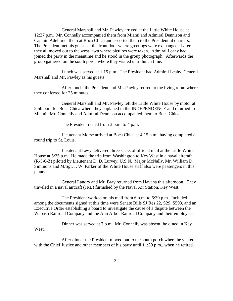General Marshall and Mr. Pawley arrived at the Little White House at 12:37 p.m. Mr. Connelly accompanied them from Miami and Admiral Dennison and Captain Adell met them at Boca Chica and escorted them to the Presidential quarters. The President met his guests at the front door where greetings were exchanged. Later they all moved out to the west lawn where pictures were taken. Admiral Leahy had joined the party in the meantime and he stood in the group photograph. Afterwards the group gathered on the south porch where they visited until lunch time.

 Lunch was served at 1:15 p.m. The President had Admiral Leahy, General Marshall and Mr. Pawley as his guests.

 After lunch, the President and Mr. Pawley retired to the living room where they conferred for 25 minutes.

 General Marshall and Mr. Pawley left the Little White House by motor at 2:50 p.m. for Boca Chica where they enplaned in the INDEPENDENCE and returned to Miami. Mr. Connelly and Admiral Dennison accompanied them to Boca Chica.

The President rested from 3 p.m. to 4 p.m.

 Lieutenant Morse arrived at Boca Chica at 4:15 p.m., having completed a round trip to St. Louis.

 Lieutenant Levy delivered three sacks of official mail at the Little White House at 5:25 p.m. He made the trip from Washington to Key West in a naval aircraft (R-5-0-Z) piloted by Lieutenant D. D. Lurvey, U.S.N. Major McNally, Mr. William D. Simmons and M/Sgt. J. W. Parker of the White House staff also were passengers in this plane.

 General Landry and Mr. Bray returned from Havana this afternoon. They traveled in a naval aircraft (JRB) furnished by the Naval Air Station, Key West.

 The President worked on his mail from 6 p.m. to 6:30 p.m. Included among the documents signed at this time were Senate Bills SJ Res 22, S29, S593, and an Executive Order establishing a board to investigate the cause of a dispute between the Wabash Railroad Company and the Ann Arbor Railroad Company and their employees.

 Dinner was served at 7 p.m. Mr. Connelly was absent; he dined in Key West.

 After dinner the President moved out to the south porch where he visited with the Chief Justice and other members of his party until 11:30 p.m., when he retired.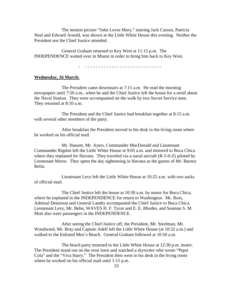The motion picture "John Loves Mary," starring Jack Carson, Patricia Neal and Edward Arnold, was shown at the Little White House this evening. Neither the President nor the Chief Justice attended.

 General Graham returned to Key West at 11:15 p.m. The INDEPENDENCE waited over in Miami in order to bring him back to Key West.

- - - - - - - - - - - - - - - - - - - - - - - - - - - - - -

#### **Wednesday, 16 March:**

 The President came downstairs at 7:15 a.m. He read the morning newspapers until 7:50 a.m., when he and the Chief Justice left the house for a stroll about the Naval Station. They were accompanied on the walk by two Secret Service men. They returned at 8:10 a.m.

 The President and the Chief Justice had breakfast together at 8:15 a.m. with several other members of the party.

 After breakfast the President moved to his desk in the living room where he worked on his official mail.

 Mr. Hassett, Mr. Ayers, Commander MacDonald and Lieutenant Commander Rigdon left the Little White House at 9:05 a.m. and motored to Boca Chica where they enplaned for Havana. They traveled via a naval aircraft (R-5-0-Z) piloted by Lieutenant Morse. They spent the day sightseeing in Havana as the guests of Mr. Barney Relin.

 Lieutenant Levy left the Little White House at 10:25 a.m. with two sacks of official mail.

 The Chief Justice left the house at 10:30 a.m. by motor for Boca Chica, where he enplaned in the INDEPENDENCE for return to Washington. Mr. Ross, Admiral Dennison and General Landry accompanied the Chief Justice to Boca Chica. Lieutenant Levy, Mr. Behn, WAVES H. F. Tycer and E. E. Rhodes, and Seaman S. M. Mott also were passengers in the INDEPENDENCE.

 After seeing the Chief Justice off, the President, Mr. Steelman, Mr. Woodward, Mr. Bray and Captain Adell left the Little White House (at 10:32 a.m.) and walked to the Enlisted Men's Beach. General Graham followed at 10:50 a.m.

 The beach party returned to the Little White House at 12:30 p.m. motor. The President stood out on the west lawn and watched a skywriter who wrote "Pepsi Cola" and the "Viva Harry." The President then went to his desk in the living room where he worked on his official mail until 1:15 p.m.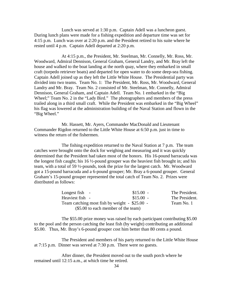Lunch was served at 1:30 p.m. Captain Adell was a luncheon guest. During lunch plans were made for a fishing expedition and departure time was set for 4:15 p.m. Lunch was over at 2:20 p.m. and the President retired to his suite where he rested until 4 p.m. Captain Adell departed at 2:20 p.m.

 At 4:15 p.m., the President, Mr. Steelman, Mr. Connelly, Mr. Ross, Mr. Woodward, Admiral Dennison, General Graham, General Landry, and Mr. Bray left the house and walked to the boat landing at the north quay, where they embarked in small craft (torpedo retriever boats) and departed for open water to do some deep-sea fishing. Captain Adell joined up as they left the Little White House. The Presidential party was divided into two teams. Team No. 1: The President, Mr. Ross, Mr. Woodward, General Landry and Mr. Bray. Team No. 2 consisted of Mr. Steelman, Mr. Connelly, Admiral Dennison, General Graham, and Captain Adell. Team No. 1 embarked in the "Big Wheel;" Team No. 2 in the "Lady Bird." The photographers and members of the press trailed along in a third small craft. While the President was embarked in the "Big Wheel" his flag was lowered at the administration building of the Naval Station and flown in the "Big Wheel."

 Mr. Hassett, Mr. Ayers, Commander MacDonald and Lieutenant Commander Rigdon returned to the Little White House at 6:50 p.m. just in time to witness the return of the fishermen.

 The fishing expedition returned to the Naval Station at 7 p.m. The team catches were brought onto the dock for weighing and measuring and it was quickly determined that the President had taken most of the honors. His 16-pound barracuda was the longest fish caught; his 16 ½-pound grouper was the heaviest fish brought in; and his team, with a total of 59 ½-pounds, took the prize for the largest catch. Mr. Woodward got a 15-pound barracuda and a 6-pound grouper; Mr. Bray a 6-pound grouper. General Graham's 15-pound grouper represented the total catch of Team No. 2. Prizes were distributed as follows:

| Longest fish -                                    | $$15.00 -$ | The President. |
|---------------------------------------------------|------------|----------------|
| Heaviest fish -                                   | $$15.00 -$ | The President. |
| Team catching most fish by weight $-$ \$25.00 $-$ |            | Team No. 1     |
| (\$5.00 to each member of the team)               |            |                |

 The \$55.00 prize money was raised by each participant contributing \$5.00 to the pool and the person catching the least fish (by weight) contributing an additional \$5.00. Thus, Mr. Bray's 6-pound grouper cost him better than 80 cents a pound.

 The President and members of his party returned to the Little White House at 7:15 p.m. Dinner was served at 7:30 p.m. There were no guests.

 After dinner, the President moved out to the south porch where he remained until 12:15 a.m., at which time he retired.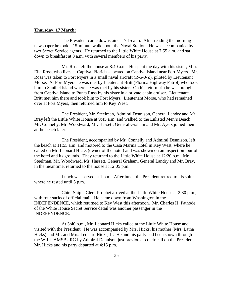#### **Thursday, 17 March:**

 The President came downstairs at 7:15 a.m. After reading the morning newspaper he took a 15-minute walk about the Naval Station. He was accompanied by two Secret Service agents. He returned to the Little White House at 7:55 a.m. and sat down to breakfast at 8 a.m. with several members of his party.

 Mr. Ross left the house at 8:40 a.m. He spent the day with his sister, Miss Ella Ross, who lives at Captiva, Florida – located on Captiva Island near Fort Myers. Mr. Ross was taken to Fort Myers in a small naval aircraft (R-5-0-Z), piloted by Lieutenant Morse. At Fort Myers he was met by Lieutenant Britt (Florida Highway Patrol) who took him to Sanibel Island where he was met by his sister. On his return trip he was brought from Captiva Island to Punta Rasa by his sister in a private cabin cruiser. Lieutenant Britt met him there and took him to Fort Myers. Lieutenant Morse, who had remained over at Fort Myers, then returned him to Key West.

 The President, Mr. Steelman, Admiral Dennison, General Landry and Mr. Bray left the Little White House at 9:45 a.m. and walked to the Enlisted Men's Beach. Mr. Connelly, Mr. Woodward, Mr. Hassett, General Graham and Mr. Ayers joined them at the beach later.

 The President, accompanied by Mr. Connelly and Admiral Dennison, left the beach at 11:55 a.m. and motored to the Casa Marina Hotel in Key West, where he called on Mr. Leonard Hicks (owner of the hotel) and was shown on an inspection tour of the hotel and its grounds. They returned to the Little White House at 12:20 p.m. Mr. Steelman, Mr. Woodward, Mr. Hassett, General Graham, General Landry and Mr. Bray, in the meantime, returned to the house at 12:05 p.m.

 Lunch was served at 1 p.m. After lunch the President retired to his suite where he rested until 3 p.m.

 Chief Ship's Clerk Prophet arrived at the Little White House at 2:30 p.m., with four sacks of official mail. He came down from Washington in the INDEPENDENCE, which returned to Key West this afternoon. Mr. Charles H. Patnode of the White House Secret Service detail was another passenger in the INDEPENDENCE.

 At 3:40 p.m., Mr. Leonard Hicks called at the Little White House and visited with the President. He was accompanied by Mrs. Hicks, his mother (Mrs. Latha Hicks) and Mr. and Mrs. Leonard Hicks, Jr. He and his party had been shown through the WILLIAMSBURG by Admiral Dennison just previous to their call on the President. Mr. Hicks and his party departed at 4:15 p.m.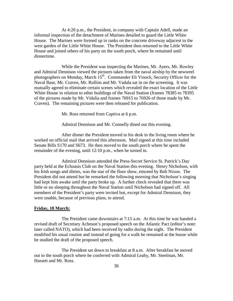At 4:20 p.m., the President, in company with Captain Adell, made an informal inspection of the detachment of Marines detailed to guard the Little White House. The Marines were formed up in ranks on the concrete driveway adjacent to the west garden of the Little White House. The President then returned to the Little White House and joined others of his party on the south porch, where he remained until dinnertime.

 While the President was inspecting the Marines, Mr. Ayers, Mr. Rowley and Admiral Dennison viewed the pictures taken from the naval airship by the newsreel photographers on Monday, March 15<sup>th</sup>. Commander Eli Vinock, Security Officer for the Naval Base, Mr. Craven, Mr. Rollins and Mr. Vadala sat in on the screening. It was mutually agreed to eliminate certain scenes which revealed the exact location of the Little White House in relation to other buildings of the Naval Station (frames 78385 to 78395 of the pictures made by Mr. Vidalia and frames 76915 to 76926 of those made by Mr. Craven). The remaining pictures were then released for publication.

Mr. Ross returned from Captiva at 6 p.m.

Admiral Dennison and Mr. Connelly dined out this evening.

 After dinner the President moved to his desk in the living room where he worked on official mail that arrived this afternoon. Mail signed at this time included Senate Bills S170 and S673. He then moved to the south porch where he spent the remainder of the evening, until 12:10 p.m., when he turned in.

 Admiral Dennison attended the Press-Secret Service St. Patrick's Day party held at the Echoasis Club on the Naval Station this evening. Henry Nicholson, with his Irish songs and ditties, was the star of the floor show, emceed by Bob Nixon. The President did not attend but he remarked the following morning that Nicholson's singing had kept him awake until the party broke up. A further check revealed that there was little or no sleeping throughout the Naval Station until Nicholson had signed off. All members of the President's party were invited but, except for Admiral Dennison, they were unable, because of previous plans, to attend.

#### **Friday, 18 March:**

The President came downstairs at 7:15 a.m. At this time he was handed a revised draft of Secretary Acheson's proposed speech on the Atlantic Pact (editor's note: later called NATO), which had been received by radio during the night. The President modified his usual routine and instead of going for a walk he remained at the house while he studied the draft of the proposed speech.

 The President sat down to breakfast at 8 a.m. After breakfast he moved out to the south porch where he conferred with Admiral Leahy, Mr. Steelman, Mr. Hassett and Mr. Ross.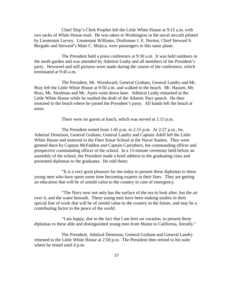Chief Ship's Clerk Prophet left the Little White House at 9:15 a.m. with two sacks of White House mail. He was taken to Washington in the naval aircraft piloted by Lieutenant Lurvey. Lieutenant Williams, Draftsman J. E. Norton, Chief Steward S. Bergado and Steward's Mate C. Mojica, were passengers in this same plane.

 The President held a press conference at 9:30 a.m. It was held outdoors in the north garden and was attended by Admiral Leahy and all members of the President's party. Newsreel and still pictures were made during the course of the conference, which terminated at 9:45 a.m.

 The President, Mr. Woodward, General Graham, General Landry and Mr. Bray left the Little White House at 9:50 a.m. and walked to the beach. Mr. Hassett, Mr. Ross, Mr. Steelman and Mr. Ayers went down later. Admiral Leahy remained at the Little White House while he studied the draft of the Atlantic Pact speech. He then motored to the beach where he joined the President's party. All hands left the beach at noon.

There were no guests at lunch, which was served at 1:15 p.m.

 The President rested from 1:45 p.m. to 2:15 p.m. At 2:27 p.m., he, Admiral Dennison, General Graham, General Landry and Captain Adell left the Little White House and motored to the Fleet Sonar School at the Naval Station. They were greeted there by Captain McFadden and Captain Carruthers, the commanding officer and prospective commanding officer of the school. In a 15-minute ceremony held before an assembly of the school, the President made a brief address to the graduating class and presented diplomas to the graduates. He told them:

 "It is a very great pleasure for me today to present these diplomas to these young men who have spent some time becoming experts in their lines. They are getting an education that will be of untold value to the country in case of emergency.

 "The Navy now not only has the surface of the sea to look after, but the air over it, and the water beneath. These young men have been making studies in their special line of work that will be of untold value to the country in the future, and may be a contributing factor to the peace of the world.

 "I am happy, due to the fact that I am here on vacation, to present these diplomas to these able and distinguished young men from Maine to California, literally."

 The President, Admiral Dennison, General Graham and General Landry returned to the Little White House at 2:50 p.m. The President then retired to his suite where he rested until 4 p.m.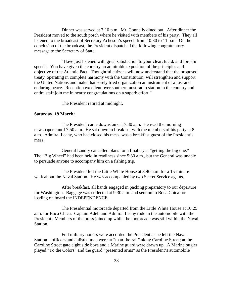Dinner was served at 7:10 p.m. Mr. Connelly dined out. After dinner the President moved to the south porch where he visited with members of his party. They all listened to the broadcast of Secretary Acheson's speech from 10:30 to 11 p.m. On the conclusion of the broadcast, the President dispatched the following congratulatory message to the Secretary of State:

 "Have just listened with great satisfaction to your clear, lucid, and forceful speech. You have given the country an admirable exposition of the principles and objective of the Atlantic Pact. Thoughtful citizens will now understand that the proposed treaty, operating in complete harmony with the Constitution, will strengthen and support the United Nations and make that sorely tried organization an instrument of a just and enduring peace. Reception excellent over southernmost radio station in the country and entire staff join me in hearty congratulations on a superb effort."

The President retired at midnight.

#### **Saturday, 19 March:**

 The President came downstairs at 7:30 a.m. He read the morning newspapers until 7:50 a.m. He sat down to breakfast with the members of his party at 8 a.m. Admiral Leahy, who had closed his mess, was a breakfast guest of the President's mess.

 General Landry cancelled plans for a final try at "getting the big one." The "Big Wheel" had been held in readiness since 5:30 a.m., but the General was unable to persuade anyone to accompany him on a fishing trip.

 The President left the Little White House at 8:40 a.m. for a 15-minute walk about the Naval Station. He was accompanied by two Secret Service agents.

 After breakfast, all hands engaged in packing preparatory to our departure for Washington. Baggage was collected at 9:30 a.m. and sent on to Boca Chica for loading on board the INDEPENDENCE.

 The Presidential motorcade departed from the Little White House at 10:25 a.m. for Boca Chica. Captain Adell and Admiral Leahy rode in the automobile with the President. Members of the press joined up while the motorcade was still within the Naval Station.

 Full military honors were accorded the President as he left the Naval Station – officers and enlisted men were at "man-the-rail" along Caroline Street; at the Caroline Street gate eight side boys and a Marine guard were drawn up. A Marine bugler played "To the Colors" and the guard "presented arms" as the President's automobile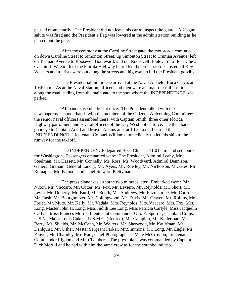paused momentarily. The President did not leave his car to inspect the guard. A 21-gun salute was fired and the President's flag was lowered at the administration building as he passed out the gate.

 After the ceremony at the Caroline Street gate, the motorcade continued on down Caroline Street to Simonton Street; up Simonton Street to Truman Avenue; left on Truman Avenue to Roosevelt Boulevard; and out Roosevelt Boulevard to Boca Chica. Captain J. W. Smith of the Florida Highway Patrol led the procession. Clusters of Key Westers and tourists were out along the streets and highway to bid the President goodbye.

 The Presidential motorcade arrived at the Naval Airfield, Boca Chica, at 10:40 a.m. As at the Naval Station, officers and men were at "man-the-rail" stations along the road leading from the main gate to the spot where the INDEPENDENCE was parked.

 All hands disembarked at once. The President talked with the newspapermen, shook hands with the members of the Citizens Welcoming Committee; the senior naval officers assembled there; with Captain Smith; three other Florida Highway patrolmen; and several officers of the Key West police force. He then bade goodbye to Captain Adell and Mayor Adams and, at 10:52 a.m., boarded the INDEPENDENCE. Lieutenant Colonel Williams immediately taxied his ship to the runway for the takeoff.

 The INDEPENDENCE departed Boca Chica at 11:01 a.m. and set course for Washington. Passengers embarked were: The President, Admiral Leahy, Mr. Steelman, Mr. Hassett, Mr. Connelly, Mr. Ross, Mr. Woodward, Admiral Dennison, General Graham, General Landry, Mr. Ayers, Mr. Rowley, Mr. Nicholson, Mr. Gies, Mr. Romagna, Mr. Patnode and Chief Steward Prettyman.

 The press plane was airborne two minutes later. Embarked were: Mr. Nixon, Mr. Vaccaro, Mr. Cutter, Mr. Fox, Mr. Leviero, Mr. Reynolds, Mr. Short, Mr. Levin, Mr. Doherty, Mr. Burd, Mr. Booth, Mr. Andrews, Mr. Fitzmaurice, Mr. Carlton, Mr. Rash, Mr. Bourgholtzer, Mr. Collingwood, Mr. Davis, Mr. Craven, Mr. Rollins, Mr. Freier, Mr. Muto, Mr. Kelly, Mr. Vadala, Mrs. Reynolds, Mrs. Vaccaro, Mrs. Fox, Mrs. Long, Master John H. Long, Miss Judith Lee Long, Miss Patricia Carlyle, Miss Jacquelin Carlyle, Miss Frances Morris, Lieutenant Commander Otto E. Sporrer, Chaplain Corps, U.S.N., Major Louis Cukela, U.S.M.C. (Retired), Mr. Campion, Mr. Kellerman, Mr. Barry, Mr. Shields, Mr. McCann, Mr. Walters, Mr. Sherwood, Mr. Kauffman, Mr. Dahlquist, Mr. Usher, Master Sergeant Parker, Mr.Simmons, Mr. Long, Mr. Engle, Mr. Fauver, Mr. Charnley, Mr. Karr, Chief Photographer's Mate McCrosson, Lieutenant Commander Rigdon and Mr. Chambers. The press plane was commanded by Captain Dick Merrill and he had with him the same crew as for the southbound trip.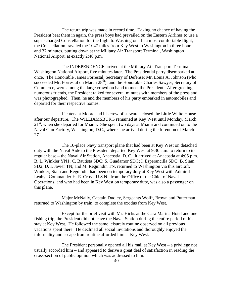The return trip was made in record time. Taking no chance of having the President beat them in again, the press boys had prevailed on the Eastern Airlines to use a super-charged Constellation for the flight to Washington. In a most comfortable flight, the Constellation traveled the 1047 miles from Key West to Washington in three hours and 37 minutes, putting down at the Military Air Transport Terminal, Washington National Airport, at exactly 2:40 p.m.

 The INDEPENDENCE arrived at the Military Air Transport Terminal, Washington National Airport, five minutes later. The Presidential party disembarked at once. The Honorable James Forrestal, Secretary of Defense; Mr. Louis A. Johnson (who succeeded Mr. Forrestal on March  $28<sup>th</sup>$ ); and the Honorable Charles Sawyer, Secretary of Commerce, were among the large crowd on hand to meet the President. After greeting numerous friends, the President talked for several minutes with members of the press and was photographed. Then, he and the members of his party embarked in automobiles and departed for their respective homes.

 Lieutenant Moore and his crew of stewards closed the Little White House after our departure. The WILLIAMSBURG remained at Key West until Monday, March  $21<sup>st</sup>$ , when she departed for Miami. She spent two days at Miami and continued on to the Naval Gun Factory, Washington, D.C., where she arrived during the forenoon of March  $27<sup>th</sup>$ .

 The 10-place Navy transport plane that had been at Key West on detached duty with the Naval Aide to the President departed Key West at 9:30 a.m. to return to its regular base – the Naval Air Station, Anacostia, D. C. It arrived at Anacostia at 4:05 p.m. B. L. Winkler YN1; C. Bautista SDC; S. Guadamor SDC; I. Esperancilla SDC; B. Siam SD2; D. I. Javier TN; and M. Reguindin TN, returned to Washington via this aircraft. Winkler, Siam and Reguindin had been on temporary duty at Key West with Admiral Leahy. Commander H. E. Cross, U.S.N., from the Office of the Chief of Naval Operations, and who had been in Key West on temporary duty, was also a passenger on this plane.

 Major McNally, Captain Dudley, Sergeants Wolff, Brown and Putterman returned to Washington by train, to complete the exodus from Key West.

 Except for the brief visit with Mr. Hicks at the Casa Marina Hotel and one fishing trip, the President did not leave the Naval Station during the entire period of his stay at Key West. He followed the same leisurely routine observed on all previous vacations spent there. He declined all social invitations and thoroughly enjoyed the informality and escape from routine afforded him at Key West.

 The President personally opened all his mail at Key West – a privilege not usually accorded him – and appeared to derive a great deal of satisfaction in reading the cross-section of public opinion which was addressed to him.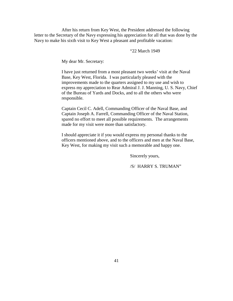After his return from Key West, the President addressed the following letter to the Secretary of the Navy expressing his appreciation for all that was done by the Navy to make his sixth visit to Key West a pleasant and profitable vacation:

"22 March 1949

My dear Mr. Secretary:

I have just returned from a most pleasant two weeks' visit at the Naval Base, Key West, Florida. I was particularly pleased with the improvements made to the quarters assigned to my use and wish to express my appreciation to Rear Admiral J. J. Manning, U. S. Navy, Chief of the Bureau of Yards and Docks, and to all the others who were responsible.

Captain Cecil C. Adell, Commanding Officer of the Naval Base, and Captain Joseph A. Farrell, Commanding Officer of the Naval Station, spared no effort to meet all possible requirements. The arrangements made for my visit were more than satisfactory.

I should appreciate it if you would express my personal thanks to the officers mentioned above, and to the officers and men at the Naval Base, Key West, for making my visit such a memorable and happy one.

Sincerely yours,

/S/ HARRY S. TRUMAN"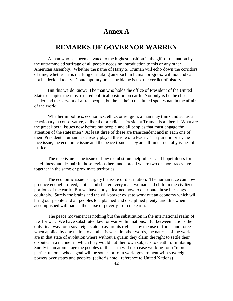### **Annex A**

### **REMARKS OF GOVERNOR WARREN**

 A man who has been elevated to the highest position in the gift of the nation by the untrammeled suffrage of all people needs no introduction to this or any other American assembly. Whether the name of Harry S. Truman will echo down the corridors of time, whether he is marking or making an epoch in human progress, will not and can not be decided today. Contemporary praise or blame is not the verdict of history.

 But this we do know: The man who holds the office of President of the United States occupies the most exalted political position on earth. Not only is he the chosen leader and the servant of a free people, but he is their constituted spokesman in the affairs of the world.

 Whether in politics, economics, ethics or religion, a man may think and act as a reactionary, a conservative, a liberal or a radical. President Truman is a liberal. What are the great liberal issues now before out people and all peoples that must engage the attention of the statesmen? At least three of these are transcendent and in each one of them President Truman has already played the role of a leader. They are, in brief, the race issue, the economic issue and the peace issue. They are all fundamentally issues of justice.

 The race issue is the issue of how to substitute helpfulness and hopefulness for hatefulness and despair in those regions here and abroad where two or more races live together in the same or proximate territories.

 The economic issue is largely the issue of distribution. The human race can now produce enough to feed, clothe and shelter every man, woman and child in the civilized portions of the earth. But we have not yet learned how to distribute these blessings equitably. Surely the brains and the will-power exist to work out an economy which will bring our people and all peoples to a planned and disciplined plenty, and this when accomplished will banish the curse of poverty from the earth.

 The peace movement is nothing but the substitution in the international realm of law for war. We have substituted law for war within nations. But between nations the only final way for a sovereign state to assure its rights is by the use of force, and force when applied by one nation to another is war. In other words, the nations of the world are in that state of evolution where without a qualm they claim the right to settle their disputes in a manner in which they would put their own subjects to death for imitating. Surely in an atomic age the peoples of the earth will not cease working for a "more perfect union," whose goal will be some sort of a world government with sovereign powers over states and peoples. (editor's note: reference to United Nations)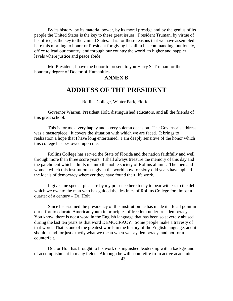By its history, by its material power, by its moral prestige and by the genius of its people the United States is the key to these great issues. President Truman, by virtue of his office, is the key to the United States. It is for these reasons that we have assembled here this morning to honor or President for giving his all in his commanding, but lonely, office to lead our country, and through our country the world, to higher and happier levels where justice and peace abide.

 Mr. President, I have the honor to present to you Harry S. Truman for the honorary degree of Doctor of Humanities.

#### **ANNEX B**

### **ADDRESS OF THE PRESIDENT**

#### Rollins College, Winter Park, Florida

 Governor Warren, President Holt, distinguished educators, and all the friends of this great school:

 This is for me a very happy and a very solemn occasion. The Governor's address was a masterpiece. It covers the situation with which we are faced. It brings to realization a hope that I have long entertained. I am deeply sensitive of the honor which this college has bestowed upon me.

 Rollins College has served the State of Florida and the nation faithfully and well through more than three score years. I shall always treasure the memory of this day and the parchment which admits me into the noble society of Rollins alumni. The men and women which this institution has given the world now for sixty-odd years have upheld the ideals of democracy wherever they have found their life work.

 It gives me special pleasure by my presence here today to bear witness to the debt which we owe to the man who has guided the destinies of Rollins College for almost a quarter of a century – Dr. Holt.

 Since he assumed the presidency of this institution he has made it a focal point in our effort to educate American youth in principles of freedom under true democracy. You know, there is not a word in the English language that has been so severely abused during the last ten years as that word DEMOCRACY. Some people make a travesty of that word. That is one of the greatest words in the history of the English language, and it should stand for just exactly what we mean when we say democracy, and not for a counterfeit.

Doctor Holt has brought to his work distinguished leadership with a background of accomplishment in many fields. Although he will soon retire from active academic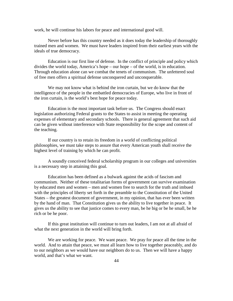work, he will continue his labors for peace and international good will.

 Never before has this country needed as it does today the leadership of thoroughly trained men and women. We must have leaders inspired from their earliest years with the ideals of true democracy.

 Education is our first line of defense. In the conflict of principle and policy which divides the world today, America's hope – our hope – of the world, is in education. Through education alone can we combat the tenets of communism. The unfettered soul of free men offers a spiritual defense unconquered and unconquerable.

 We may not know what is behind the iron curtain, but we do know that the intelligence of the people in the embattled democracies of Europe, who live in front of the iron curtain, is the world's best hope for peace today.

 Education is the most important task before us. The Congress should enact legislation authorizing Federal grants to the States to assist in meeting the operating expenses of elementary and secondary schools. There is general agreement that such aid can be given without interference with State responsibility for the scope and content of the teaching.

 If our country is to retain its freedom in a world of conflicting political philosophies, we must take steps to assure that every American youth shall receive the highest level of training by which he can profit.

 A soundly conceived federal scholarship program in our colleges and universities is a necessary step in attaining this goal.

 Education has been defined as a bulwark against the acids of fascism and communism. Neither of these totalitarian forms of government can survive examination by educated men and women – men and women free to search for the truth and imbued with the principles of liberty set forth in the preamble to the Constitution of the United States – the greatest document of government, in my opinion, that has ever been written by the hand of man. That Constitution gives us the ability to live together in peace. It gives us the ability to see that justice comes to every man, be he big or be he small, be he rich or be he poor.

 If this great institution will continue to turn out leaders, I am not at all afraid of what the next generation in the world will bring forth.

 We are working for peace. We want peace. We pray for peace all the time in the world. And to attain that peace, we must all learn how to live together peaceably, and do to our neighbors as we would have our neighbors do to us. Then we will have a happy world, and that's what we want.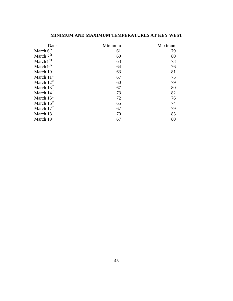#### **MINIMUM AND MAXIMUM TEMPERATURES AT KEY WEST**

| Date                   | Minimum | Maximum |
|------------------------|---------|---------|
| March 6 <sup>th</sup>  | 61      | 79      |
| March $7th$            | 69      | 80      |
| March $8th$            | 63      | 73      |
| March $9th$            | 64      | 76      |
| March 10 <sup>th</sup> | 63      | 81      |
| March $11th$           | 67      | 75      |
| March $12^{th}$        | 60      | 79      |
| March $13th$           | 67      | 80      |
| March 14 <sup>th</sup> | 73      | 82      |
| March 15 <sup>th</sup> | 72      | 76      |
| March 16 <sup>th</sup> | 65      | 74      |
| March 17 <sup>th</sup> | 67      | 79      |
| March 18 <sup>th</sup> | 70      | 83      |
| March 19th             | 67      | 80      |